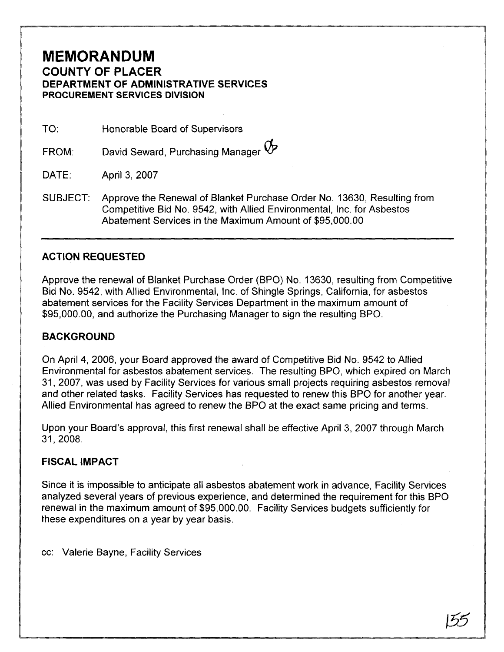## **MEMORANDUM COUNTY OF PLACER DEPARTMENT OF ADMINISTRATIVE SERVICES PROCUREMENT SERVICES DIVISION**

TO: Honorable Board of Supervisors

David Seward, Purchasing Manager  $\bigtriangledown$ FROM:

DATE: April 3, 2007

SUBJECT: Approve the Renewal of Blanket Purchase Order No. 13630, Resulting from Competitive Bid No. 9542, with Allied Environmental, Inc. for Asbestos Abatement Services in the Maximum Amount of \$95,000.00

## **ACTION REQUESTED**

Approve the renewal of Blanket Purchase Order (BPO) N9. 13630, resulting from Competitive Bid No. 9542, with Allied Environmental, Inc. of Shingle Springs, California, for asbestos abatement services for the Facility Services Department in the maximum amount of \$95,000.00, and authorize the Purchasing Manager to sign the resulting BPO.

## **BACKGROUND**

On April 4, 2006, your Board approved the award of Competitive Bid No. 9542 to Allied Environmental for asbestos abatement services. The resulting BPO, which expired on March 31, 2007, was used by Facility Services for various small projects requiring asbestos removal and other related tasks. Facility Services has requested to renew this BPO for another year. Allied Environmental has agreed to renew the BPO at the exact same pricing and terms.

Upon your Board's approval, this first renewal shall be effective April 3, 2007 through March

## **FISCAL IMPACT**

Since it is impossible to anticipate all asbestos abatement work in advance, Facility Services analyzed several years of previous experience, and determined the requirement for this BPO renewal in the maximum amount of \$95,000.00. Facility Services budgets sufficiently for these expenditures on a year by year basis.

cc: Valerie Bayne, Facility Services